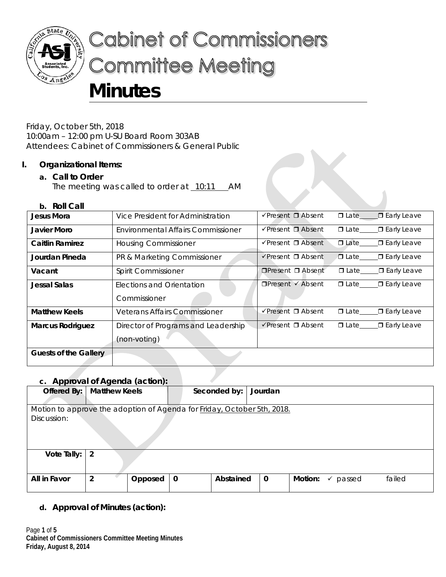

# **Cabinet of Commissioners Committee Meeting**

# **Minutes**

Friday, October 5th, 2018 10:00am – 12:00 pm U-SU Board Room 303AB Attendees: Cabinet of Commissioners & General Public

# **I. Organizational Items:**

# **a. Call to Order**

The meeting was called to order at  $10:11$  AM

# **b. Roll Call**

| Jesus Mora              | Vice President for Administration    | $\checkmark$ Present $\Box$ Absent | <b>ID</b> Late_____ <b>D</b> Early Leave  |
|-------------------------|--------------------------------------|------------------------------------|-------------------------------------------|
| Javier Moro             | Environmental Affairs Commissioner   | $\sqrt{P}$ resent $\Box$ Absent    | $\Box$ Early Leave<br>$\Box$ Late         |
| <b>Caitlin Ramirez</b>  | <b>Housing Commissioner</b>          | $\sqrt{P}$ resent $\Box$ Absent    | $\Box$ Late<br>□ Early Leave              |
| Jourdan Pineda          | PR & Marketing Commissioner          | $\checkmark$ Present $\Box$ Absent | $\Box$ Late_____<br><b>□</b> Early Leave  |
| Vacant                  | Spirit Commissioner                  | $\Box$ Present $\Box$ Absent       | $\Box$ Late $\Box$ Early Leave            |
| <b>Jessal Salas</b>     | Elections and Orientation            | $\Box$ Present $\checkmark$ Absent | <b>□</b> Early Leave<br>$\Box$ Late       |
|                         | Commissioner                         |                                    |                                           |
| <b>Matthew Keels</b>    | <b>Veterans Affairs Commissioner</b> | √Present □ Absent                  | <b>□</b> Early Leave<br>$\Box$ Late______ |
| <b>Marcus Rodriguez</b> | Director of Programs and Leadership  | $\checkmark$ Present $\Box$ Absent | $\Box$ Late $\Box$ Early Leave            |
|                         | (non-voting)                         |                                    |                                           |
| Guests of the Gallery   |                                      |                                    |                                           |

# **c. Approval of Agenda (action):**

| c. Apploval of Agenua (action).                                         |                |         |             |              |             |         |             |        |
|-------------------------------------------------------------------------|----------------|---------|-------------|--------------|-------------|---------|-------------|--------|
| Offered By:   Matthew Keels                                             |                |         |             | Seconded by: | Jourdan     |         |             |        |
|                                                                         |                |         |             |              |             |         |             |        |
| Motion to approve the adoption of Agenda for Friday, October 5th, 2018. |                |         |             |              |             |         |             |        |
| Discussion:                                                             |                |         |             |              |             |         |             |        |
|                                                                         |                |         |             |              |             |         |             |        |
|                                                                         |                |         |             |              |             |         |             |        |
|                                                                         |                |         |             |              |             |         |             |        |
| Vote Tally:                                                             | $\overline{2}$ |         |             |              |             |         |             |        |
|                                                                         |                |         |             |              |             |         |             |        |
|                                                                         |                |         |             |              |             |         |             |        |
| All in Favor                                                            | $\overline{2}$ | Opposed | $\mathbf 0$ | Abstained    | $\mathbf 0$ | Motion: | passed<br>✓ | failed |
|                                                                         |                |         |             |              |             |         |             |        |

# **d. Approval of Minutes (action):**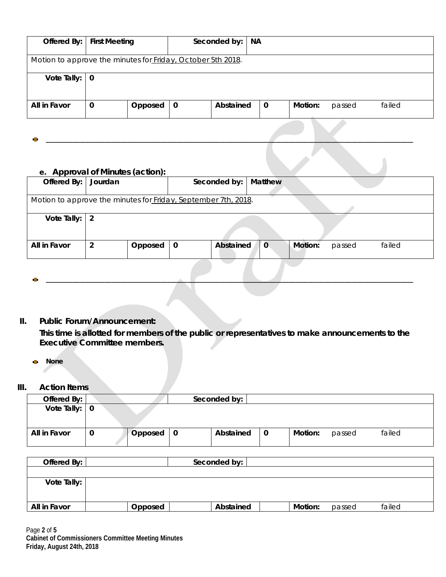| Offered By:                 | <b>First Meeting</b>                                        | Seconded by:             | <b>NA</b>   |         |        |        |
|-----------------------------|-------------------------------------------------------------|--------------------------|-------------|---------|--------|--------|
|                             |                                                             |                          |             |         |        |        |
|                             | Motion to approve the minutes for Friday, October 5th 2018. |                          |             |         |        |        |
|                             |                                                             |                          |             |         |        |        |
| Vote Tally: $\vert 0 \vert$ |                                                             |                          |             |         |        |        |
|                             |                                                             |                          |             |         |        |        |
|                             |                                                             |                          |             |         |        |        |
| All in Favor                | Opposed<br>$\mathbf 0$                                      | Abstained<br>$\mathbf 0$ | $\mathbf 0$ | Motion: | passed | failed |
|                             |                                                             |                          |             |         |        |        |
|                             |                                                             |                          |             |         |        |        |

**\_\_\_\_\_\_\_\_\_\_\_\_\_\_\_\_\_\_\_\_\_\_\_\_\_\_\_\_\_\_\_\_\_\_\_\_\_\_\_\_\_\_\_\_\_\_\_\_\_\_\_\_\_\_\_\_\_\_\_\_\_\_\_\_\_\_\_\_\_\_\_\_\_\_\_\_\_\_\_\_\_\_\_\_\_\_\_\_\_\_\_\_\_\_\_\_\_\_\_\_\_\_\_\_\_\_\_\_\_\_\_\_**

#### **e. Approval of Minutes (action):**

| Offered By: Jourdan                                            |                           |   | Seconded by: | <b>Matthew</b> |         |        |        |  |
|----------------------------------------------------------------|---------------------------|---|--------------|----------------|---------|--------|--------|--|
|                                                                |                           |   |              |                |         |        |        |  |
| Motion to approve the minutes for Friday, September 7th, 2018. |                           |   |              |                |         |        |        |  |
|                                                                |                           |   |              |                |         |        |        |  |
| Vote Tally: $\vert 2 \vert$                                    |                           |   |              |                |         |        |        |  |
|                                                                |                           |   |              |                |         |        |        |  |
| All in Favor                                                   | $\overline{2}$<br>Opposed | 0 | Abstained    | $\mathbf 0$    | Motion: | passed | failed |  |
|                                                                |                           |   |              |                |         |        |        |  |
|                                                                |                           |   |              |                |         |        |        |  |

**\_\_\_\_\_\_\_\_\_\_\_\_\_\_\_\_\_\_\_\_\_\_\_\_\_\_\_\_\_\_\_\_\_\_\_\_\_\_\_\_\_\_\_\_\_\_\_\_\_\_\_\_\_\_\_\_\_\_\_\_\_\_\_\_\_\_\_\_\_\_\_\_\_\_\_\_\_\_\_\_\_\_\_\_\_\_\_\_\_\_\_\_\_\_\_\_\_\_\_\_\_\_\_\_\_\_\_\_\_\_\_\_**

#### **II. Public Forum/Announcement:**

**This time is allotted for members of the public or representatives to make announcements to the Executive Committee members.**

**None**  $\mathbf{r}_\mathrm{c}$ 

#### **III. Action Items**

| Offered By:                 |   |         |    | Seconded by: |             |         |        |        |
|-----------------------------|---|---------|----|--------------|-------------|---------|--------|--------|
| Vote Tally: $\vert 0 \vert$ |   |         |    |              |             |         |        |        |
| All in Favor                | 0 | Opposed | -0 | Abstained    | $\mathbf 0$ | Motion: | passed | failed |

| Offered By:  |         | Seconded by: |         |        |        |  |
|--------------|---------|--------------|---------|--------|--------|--|
|              |         |              |         |        |        |  |
| Vote Tally:  |         |              |         |        |        |  |
|              |         |              |         |        |        |  |
| All in Favor | Opposed | Abstained    | Motion: | passed | failed |  |

Page **2** of **5 Cabinet of Commissioners Committee Meeting Minutes Friday, August 24th, 2018**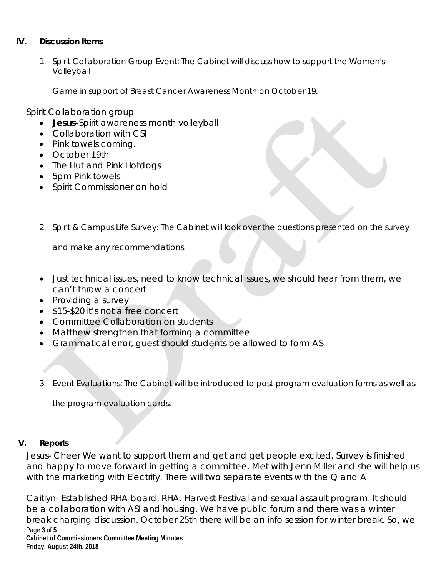# **IV. Discussion Items**

1. Spirit Collaboration Group Event: The Cabinet will discuss how to support the Women's Volleyball

Game in support of Breast Cancer Awareness Month on October 19.

Spirit Collaboration group

- **Jesus-**Spirit awareness month volleyball
- Collaboration with CSI
- Pink towels coming.
- October 19th
- The Hut and Pink Hotdogs
- 5pm Pink towels
- Spirit Commissioner on hold
- 2. Spirit & Campus Life Survey: The Cabinet will look over the questions presented on the survey

and make any recommendations.

- Just technical issues, need to know technical issues, we should hear from them, we can't throw a concert
- Providing a survey
- \$15-\$20 it's not a free concert
- Committee Collaboration on students
- Matthew strengthen that forming a committee
- Grammatical error, guest should students be allowed to form AS

3. Event Evaluations: The Cabinet will be introduced to post-program evaluation forms as well as

the program evaluation cards.

#### **V. Reports**

Jesus- Cheer We want to support them and get and get people excited. Survey is finished and happy to move forward in getting a committee. Met with Jenn Miller and she will help us with the marketing with Electrify. There will two separate events with the Q and A

Page **3** of **5 Cabinet of Commissioners Committee Meeting Minutes Friday, August 24th, 2018** Caitlyn- Established RHA board, RHA. Harvest Festival and sexual assault program. It should be a collaboration with ASI and housing. We have public forum and there was a winter break charging discussion. October 25th there will be an info session for winter break. So, we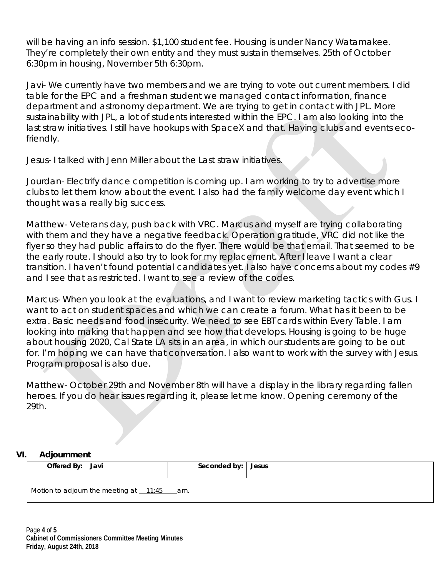will be having an info session. \$1,100 student fee. Housing is under Nancy Watamakee. They're completely their own entity and they must sustain themselves. 25th of October 6:30pm in housing, November 5th 6:30pm.

Javi- We currently have two members and we are trying to vote out current members. I did table for the EPC and a freshman student we managed contact information, finance department and astronomy department. We are trying to get in contact with JPL. More sustainability with JPL, a lot of students interested within the EPC. I am also looking into the last straw initiatives. I still have hookups with SpaceX and that. Having clubs and events ecofriendly.

Jesus- I talked with Jenn Miller about the Last straw initiatives.

Jourdan- Electrify dance competition is coming up. I am working to try to advertise more clubs to let them know about the event. I also had the family welcome day event which I thought was a really big success.

Matthew- Veterans day, push back with VRC. Marcus and myself are trying collaborating with them and they have a negative feedback. Operation gratitude, VRC did not like the flyer so they had public affairs to do the flyer. There would be that email. That seemed to be the early route. I should also try to look for my replacement. After I leave I want a clear transition. I haven't found potential candidates yet. I also have concerns about my codes #9 and I see that as restricted. I want to see a review of the codes.

Marcus- When you look at the evaluations, and I want to review marketing tactics with Gus. I want to act on student spaces and which we can create a forum. What has it been to be extra. Basic needs and food insecurity. We need to see EBT cards within Every Table. I am looking into making that happen and see how that develops. Housing is going to be huge about housing 2020, Cal State LA sits in an area, in which our students are going to be out for. I'm hoping we can have that conversation. I also want to work with the survey with Jesus. Program proposal is also due.

Matthew- October 29th and November 8th will have a display in the library regarding fallen heroes. If you do hear issues regarding it, please let me know. Opening ceremony of the 29th.

# **VI. Adjournment**

| Offered By: Javi |                                              | Seconded by: | Jesus |
|------------------|----------------------------------------------|--------------|-------|
|                  | Motion to adjourn the meeting at $11:45$ am. |              |       |